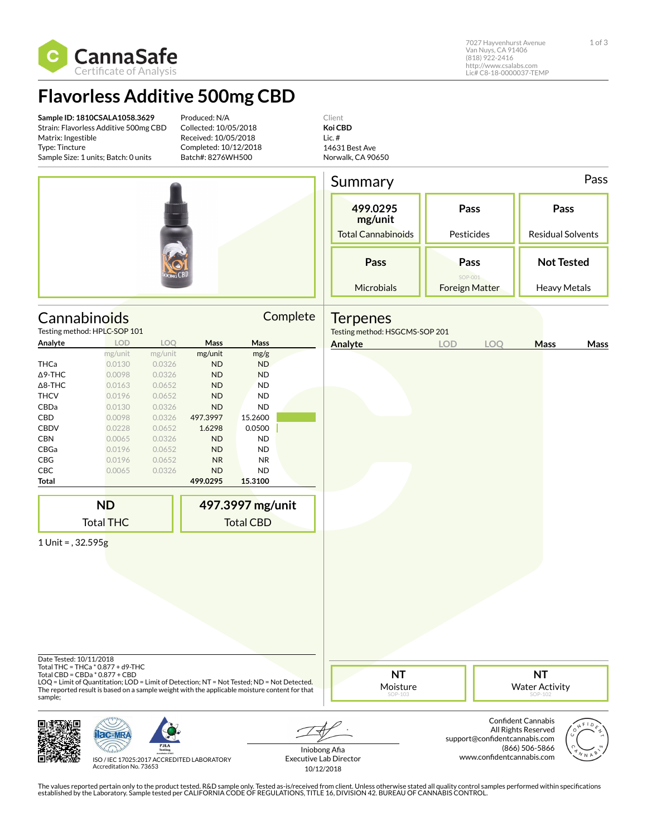

7027 Hayvenhurst Avenue 1 of 3 Van Nuys, CA 91406 (818) 922-2416 http://www.csalabs.com Lic# C8-18-0000037-TEMP

# **Flavorless Additive 500mg CBD**

Δ9-THC 0.0098 0.0326 ND ND Δ8-THC 0.0163 0.0652 ND ND THCV 0.0196 0.0652 ND ND CBDa 0.0130 0.0326 ND ND CBD 0.0098 0.0326 497.3997 15.2600 CBDV 0.0228 0.0652 1.6298 0.0500 CBN 0.0065 0.0326 ND ND CBGa 0.0196 0.0652 ND ND CBG 0.0196 0.0652 NR NR CBC 0.0065 0.0326 ND ND **Total 499.0295 15.3100**

**Sample ID: 1810CSALA1058.3629** Strain: Flavorless Additive 500mg CBD Matrix: Ingestible Type: Tincture Sample Size: 1 units; Batch: 0 units

Produced: N/A Collected: 10/05/2018 Received: 10/05/2018 Completed: 10/12/2018 Batch#: 8276WH500

Client **Koi CBD** Lic. # 14631 Best Ave Norwalk, CA 90650

|                     |                              |                |                 |                     | Summary | Pass                                              |     |                                          |                                          |      |
|---------------------|------------------------------|----------------|-----------------|---------------------|---------|---------------------------------------------------|-----|------------------------------------------|------------------------------------------|------|
|                     |                              |                |                 |                     |         | 499.0295<br>mg/unit                               |     | Pass                                     |                                          | Pass |
|                     |                              |                |                 |                     |         | <b>Total Cannabinoids</b>                         |     | Pesticides                               | <b>Residual Solvents</b>                 |      |
|                     |                              |                |                 |                     |         | Pass<br><b>Microbials</b>                         |     | Pass<br>SOP-001<br><b>Foreign Matter</b> | <b>Not Tested</b><br><b>Heavy Metals</b> |      |
| <b>Cannabinoids</b> | Testing method: HPLC-SOP 101 |                |                 | Complete            |         | <b>Terpenes</b><br>Testing method: HSGCMS-SOP 201 |     |                                          |                                          |      |
| Analyte             | <b>LOD</b><br>mg/unit        | LOO<br>mg/unit | Mass<br>mg/unit | <b>Mass</b><br>mg/g |         | Analyte                                           | LOD | <b>LOO</b>                               | <b>Mass</b>                              | Mass |
| <b>THCa</b>         | 0.0130                       | 0.0326         | <b>ND</b>       | <b>ND</b>           |         |                                                   |     |                                          |                                          |      |



|                                    | <b>ND</b>                                                                                              | 497.3997 mg/unit                                                                                                                                                                                                               |                                                              |                                  |                                                                                                                                  |  |
|------------------------------------|--------------------------------------------------------------------------------------------------------|--------------------------------------------------------------------------------------------------------------------------------------------------------------------------------------------------------------------------------|--------------------------------------------------------------|----------------------------------|----------------------------------------------------------------------------------------------------------------------------------|--|
|                                    | <b>Total THC</b>                                                                                       | <b>Total CBD</b>                                                                                                                                                                                                               |                                                              |                                  |                                                                                                                                  |  |
| 1 Unit = $, 32.595g$               |                                                                                                        |                                                                                                                                                                                                                                |                                                              |                                  |                                                                                                                                  |  |
| Date Tested: 10/11/2018<br>sample; | Total THC = THCa $*$ 0.877 + d9-THC<br>Total CBD = CBDa * 0.877 + CBD                                  | LOQ = Limit of Quantitation; LOD = Limit of Detection; NT = Not Tested; ND = Not Detected.<br>The reported result is based on a sample weight with the applicable moisture content for that                                    |                                                              | <b>NT</b><br>Moisture<br>SOP-103 | <b>NT</b><br><b>Water Activity</b><br>SOP-102                                                                                    |  |
|                                    | <b>PJLA</b><br><b>Testing</b><br>ISO / IEC 17025:2017 ACCREDITED LABORATORY<br>Accreditation No. 73653 |                                                                                                                                                                                                                                | Iniobong Afia<br><b>Executive Lab Director</b><br>10/12/2018 |                                  | <b>Confident Cannabis</b><br>All Rights Reserved<br>support@confidentcannabis.com<br>(866) 506-5866<br>www.confidentcannabis.com |  |
|                                    |                                                                                                        | The values reported pertain only to the product tested. R&D sample only. Tested as-is/received from client. Unless otherwise stated all quality control samples performed within specifications established by the Laboratory. |                                                              |                                  |                                                                                                                                  |  |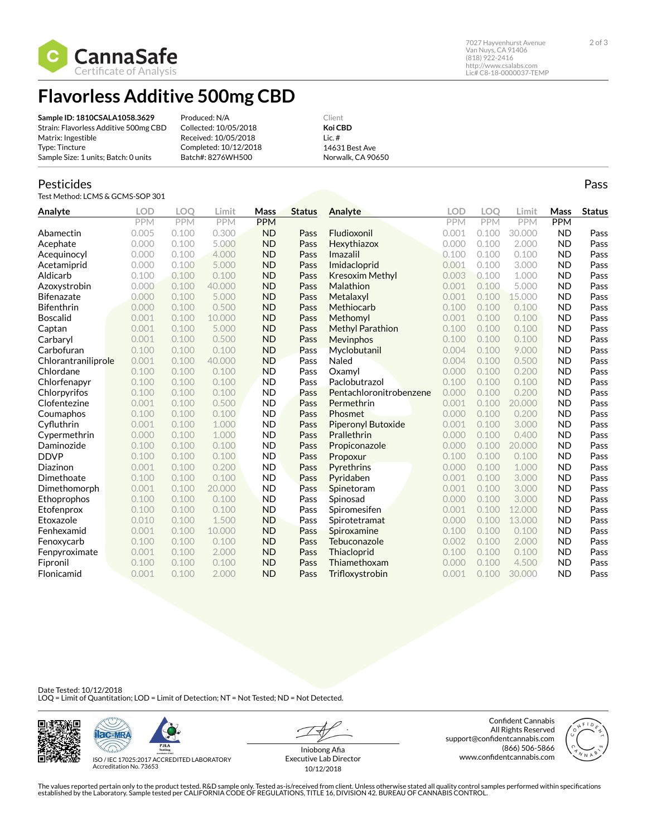

7027 Hayvenhurst Avenue 2 of 3 Van Nuys, CA 91406 (818) 922-2416 http://www.csalabs.com Lic# C8-18-0000037-TEMP

# **Flavorless Additive 500mg CBD**

**Sample ID: 1810CSALA1058.3629** Strain: Flavorless Additive 500mg CBD Matrix: Ingestible Type: Tincture Sample Size: 1 units; Batch: 0 units

Produced: N/A Collected: 10/05/2018 Received: 10/05/2018 Completed: 10/12/2018 Batch#: 8276WH500

Client **Koi CBD** Lic. # 14631 Best Ave Norwalk, CA 90650

### Pesticides

Test Method: LCMS & GCMS-SOP 301

| Analyte             | <b>LOD</b> | LOO        | Limit  | Mass       | <b>Status</b> | Analyte                 | LOD   | <b>LOO</b> | Limit      | Mass       | <b>Status</b> |
|---------------------|------------|------------|--------|------------|---------------|-------------------------|-------|------------|------------|------------|---------------|
|                     | <b>PPM</b> | <b>PPM</b> | PPM    | <b>PPM</b> |               |                         | PPM   | PPM        | <b>PPM</b> | <b>PPM</b> |               |
| Abamectin           | 0.005      | 0.100      | 0.300  | <b>ND</b>  | Pass          | Fludioxonil             | 0.001 | 0.100      | 30.000     | <b>ND</b>  | Pass          |
| Acephate            | 0.000      | 0.100      | 5.000  | <b>ND</b>  | Pass          | Hexythiazox             | 0.000 | 0.100      | 2.000      | <b>ND</b>  | Pass          |
| Acequinocyl         | 0.000      | 0.100      | 4.000  | <b>ND</b>  | Pass          | Imazalil                | 0.100 | 0.100      | 0.100      | <b>ND</b>  | Pass          |
| Acetamiprid         | 0.000      | 0.100      | 5.000  | <b>ND</b>  | Pass          | Imidacloprid            | 0.001 | 0.100      | 3.000      | ND         | Pass          |
| Aldicarb            | 0.100      | 0.100      | 0.100  | <b>ND</b>  | Pass          | <b>Kresoxim Methyl</b>  | 0.003 | 0.100      | 1.000      | <b>ND</b>  | Pass          |
| Azoxystrobin        | 0.000      | 0.100      | 40.000 | <b>ND</b>  | Pass          | Malathion               | 0.001 | 0.100      | 5.000      | <b>ND</b>  | Pass          |
| <b>Bifenazate</b>   | 0.000      | 0.100      | 5.000  | <b>ND</b>  | Pass          | Metalaxyl               | 0.001 | 0.100      | 15.000     | <b>ND</b>  | Pass          |
| <b>Bifenthrin</b>   | 0.000      | 0.100      | 0.500  | <b>ND</b>  | Pass          | Methiocarb              | 0.100 | 0.100      | 0.100      | <b>ND</b>  | Pass          |
| <b>Boscalid</b>     | 0.001      | 0.100      | 10.000 | <b>ND</b>  | Pass          | Methomyl                | 0.001 | 0.100      | 0.100      | <b>ND</b>  | Pass          |
| Captan              | 0.001      | 0.100      | 5.000  | <b>ND</b>  | Pass          | <b>Methyl Parathion</b> | 0.100 | 0.100      | 0.100      | <b>ND</b>  | Pass          |
| Carbaryl            | 0.001      | 0.100      | 0.500  | <b>ND</b>  | Pass          | Mevinphos               | 0.100 | 0.100      | 0.100      | <b>ND</b>  | Pass          |
| Carbofuran          | 0.100      | 0.100      | 0.100  | <b>ND</b>  | Pass          | Myclobutanil            | 0.004 | 0.100      | 9.000      | <b>ND</b>  | Pass          |
| Chlorantraniliprole | 0.001      | 0.100      | 40.000 | <b>ND</b>  | Pass          | Naled                   | 0.004 | 0.100      | 0.500      | <b>ND</b>  | Pass          |
| Chlordane           | 0.100      | 0.100      | 0.100  | <b>ND</b>  | Pass          | Oxamyl                  | 0.000 | 0.100      | 0.200      | <b>ND</b>  | Pass          |
| Chlorfenapyr        | 0.100      | 0.100      | 0.100  | <b>ND</b>  | Pass          | Paclobutrazol           | 0.100 | 0.100      | 0.100      | <b>ND</b>  | Pass          |
| Chlorpyrifos        | 0.100      | 0.100      | 0.100  | <b>ND</b>  | Pass          | Pentachloronitrobenzene | 0.000 | 0.100      | 0.200      | <b>ND</b>  | Pass          |
| Clofentezine        | 0.001      | 0.100      | 0.500  | <b>ND</b>  | Pass          | Permethrin              | 0.001 | 0.100      | 20.000     | <b>ND</b>  | Pass          |
| Coumaphos           | 0.100      | 0.100      | 0.100  | <b>ND</b>  | Pass          | Phosmet                 | 0.000 | 0.100      | 0.200      | <b>ND</b>  | Pass          |
| Cyfluthrin          | 0.001      | 0.100      | 1.000  | <b>ND</b>  | Pass          | Piperonyl Butoxide      | 0.001 | 0.100      | 3.000      | <b>ND</b>  | Pass          |
| Cypermethrin        | 0.000      | 0.100      | 1.000  | <b>ND</b>  | Pass          | Prallethrin             | 0.000 | 0.100      | 0.400      | <b>ND</b>  | Pass          |
| Daminozide          | 0.100      | 0.100      | 0.100  | <b>ND</b>  | Pass          | Propiconazole           | 0.000 | 0.100      | 20.000     | <b>ND</b>  | Pass          |
| <b>DDVP</b>         | 0.100      | 0.100      | 0.100  | <b>ND</b>  | Pass          | Propoxur                | 0.100 | 0.100      | 0.100      | <b>ND</b>  | Pass          |
| Diazinon            | 0.001      | 0.100      | 0.200  | <b>ND</b>  | Pass          | Pyrethrins              | 0.000 | 0.100      | 1.000      | <b>ND</b>  | Pass          |
| Dimethoate          | 0.100      | 0.100      | 0.100  | <b>ND</b>  | Pass          | Pyridaben               | 0.001 | 0.100      | 3.000      | <b>ND</b>  | Pass          |
| Dimethomorph        | 0.001      | 0.100      | 20.000 | <b>ND</b>  | Pass          | Spinetoram              | 0.001 | 0.100      | 3.000      | <b>ND</b>  | Pass          |
| Ethoprophos         | 0.100      | 0.100      | 0.100  | <b>ND</b>  | Pass          | Spinosad                | 0.000 | 0.100      | 3.000      | <b>ND</b>  | Pass          |
| Etofenprox          | 0.100      | 0.100      | 0.100  | <b>ND</b>  | Pass          | Spiromesifen            | 0.001 | 0.100      | 12.000     | <b>ND</b>  | Pass          |
| Etoxazole           | 0.010      | 0.100      | 1.500  | <b>ND</b>  | Pass          | Spirotetramat           | 0.000 | 0.100      | 13.000     | <b>ND</b>  | Pass          |
| Fenhexamid          | 0.001      | 0.100      | 10.000 | <b>ND</b>  | Pass          | Spiroxamine             | 0.100 | 0.100      | 0.100      | <b>ND</b>  | Pass          |
| Fenoxycarb          | 0.100      | 0.100      | 0.100  | <b>ND</b>  | Pass          | Tebuconazole            | 0.002 | 0.100      | 2.000      | <b>ND</b>  | Pass          |
| Fenpyroximate       | 0.001      | 0.100      | 2.000  | <b>ND</b>  | Pass          | Thiacloprid             | 0.100 | 0.100      | 0.100      | <b>ND</b>  | Pass          |
| Fipronil            | 0.100      | 0.100      | 0.100  | <b>ND</b>  | Pass          | Thiamethoxam            | 0.000 | 0.100      | 4.500      | <b>ND</b>  | Pass          |
| Flonicamid          | 0.001      | 0.100      | 2.000  | <b>ND</b>  | Pass          | Trifloxystrobin         | 0.001 | 0.100      | 30.000     | <b>ND</b>  | Pass          |

#### Date Tested: 10/12/2018 LOQ = Limit of Quantitation; LOD = Limit of Detection; NT = Not Tested; ND = Not Detected.





ISO / IEC 17025:2017 ACCREDITED LABORATORY Accreditation No. 73653

Iniobong Afia Executive Lab Director 10/12/2018

Confident Cannabis All Rights Reserved support@confidentcannabis.com (866) 506-5866 www.confidentcannabis.com



The values reported pertain only to the product tested. R&D sample only. Tested as-is/received from client. Unless otherwise stated all quality control samples performed within specifications<br>established by the Laboratory.

Pass